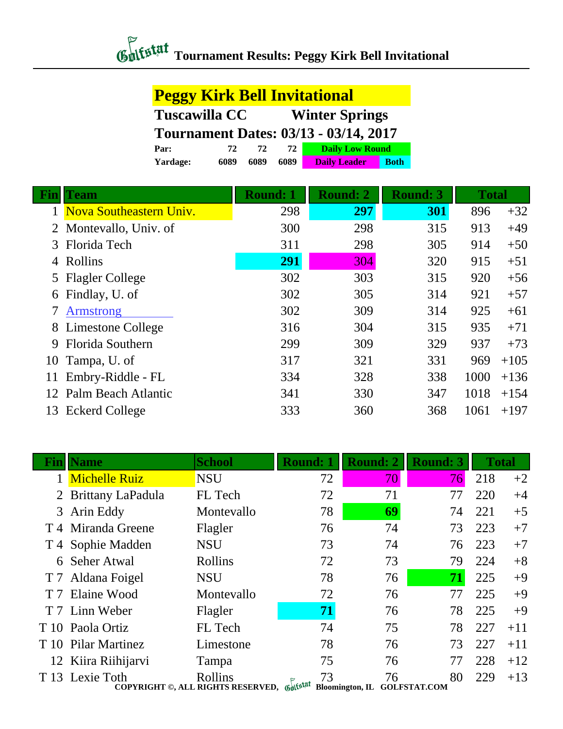## *Chilistat* Tournament Results: Peggy Kirk Bell Invitational

|     | <b>Peggy Kirk Bell Invitational</b> |                                              |                       |                        |             |  |                 |      |  |  |              |  |  |        |
|-----|-------------------------------------|----------------------------------------------|-----------------------|------------------------|-------------|--|-----------------|------|--|--|--------------|--|--|--------|
|     | <b>Tuscawilla CC</b>                |                                              | <b>Winter Springs</b> |                        |             |  |                 |      |  |  |              |  |  |        |
|     |                                     | <b>Tournament Dates: 03/13 - 03/14, 2017</b> |                       |                        |             |  |                 |      |  |  |              |  |  |        |
|     | Par:                                | 72<br>72                                     | 72                    | <b>Daily Low Round</b> |             |  |                 |      |  |  |              |  |  |        |
|     | 6089<br>Yardage:                    | 6089                                         | 6089                  | <b>Daily Leader</b>    | <b>Both</b> |  |                 |      |  |  |              |  |  |        |
| Fin | <b>Team</b>                         | <b>Round: 1</b>                              |                       | <b>Round: 2</b>        |             |  | <b>Round: 3</b> |      |  |  | <b>Total</b> |  |  |        |
|     | Nova Southeastern Univ.             |                                              | 298                   | 297                    |             |  | 301             | 896  |  |  |              |  |  | $+32$  |
| 2   | Montevallo, Univ. of                |                                              | 300                   | 298                    |             |  | 315             | 913  |  |  |              |  |  | $+49$  |
| 3   | Florida Tech                        |                                              | 311                   | 298                    |             |  | 305             | 914  |  |  |              |  |  | $+50$  |
| 4   | Rollins                             |                                              | 291                   | 304                    |             |  | 320             | 915  |  |  |              |  |  | $+51$  |
| 5   | <b>Flagler College</b>              |                                              | 302                   | 303                    |             |  | 315             | 920  |  |  |              |  |  | $+56$  |
| 6   | Findlay, U. of                      |                                              | 302                   | 305                    |             |  | 314             | 921  |  |  |              |  |  | $+57$  |
| 7   | <b>Armstrong</b>                    |                                              | 302                   | 309                    |             |  | 314             | 925  |  |  |              |  |  | $+61$  |
| 8   | Limestone College                   |                                              | 316                   | 304                    |             |  | 315             | 935  |  |  |              |  |  | $+71$  |
| 9   | <b>Florida Southern</b>             |                                              | 299                   | 309                    |             |  | 329             | 937  |  |  |              |  |  | $+73$  |
| 10  | Tampa, U. of                        |                                              | 317                   | 321                    |             |  | 331             | 969  |  |  |              |  |  | $+105$ |
| 11  | Embry-Riddle - FL                   |                                              | 334                   | 328                    |             |  | 338             | 1000 |  |  |              |  |  | $+136$ |
| 12  | Palm Beach Atlantic                 |                                              | 341                   | 330                    |             |  | 347             | 1018 |  |  |              |  |  | $+154$ |
| 13  | <b>Eckerd College</b>               |                                              | 333                   | 360                    |             |  | 368             | 1061 |  |  |              |  |  | $+197$ |

|                | <b>Name</b>           | <b>School</b>                                         | <b>Round: 1</b> | <b>Round: 2</b>              | <b>Round: 3</b>           |     | <b>Total</b> |
|----------------|-----------------------|-------------------------------------------------------|-----------------|------------------------------|---------------------------|-----|--------------|
|                | <b>Michelle Ruiz</b>  | <b>NSU</b>                                            | 72              | 70                           | 76                        | 218 | $+2$         |
| $\overline{2}$ | Brittany LaPadula     | FL Tech                                               | 72              | 71                           | 77                        | 220 | $+4$         |
| 3              | Arin Eddy             | Montevallo                                            | 78              | 69                           | 74                        | 221 | $+5$         |
|                | T 4 Miranda Greene    | Flagler                                               | 76              | 74                           | 73                        | 223 | $+7$         |
|                | T 4 Sophie Madden     | <b>NSU</b>                                            | 73              | 74                           | 76                        | 223 | $+7$         |
| 6              | <b>Seher Atwal</b>    | Rollins                                               | 72              | 73                           | 79                        | 224 | $+8$         |
|                | T 7 Aldana Foigel     | <b>NSU</b>                                            | 78              | 76                           | 71                        | 225 | $+9$         |
| T <sub>7</sub> | Elaine Wood           | Montevallo                                            | 72              | 76                           | 77                        | 225 | $+9$         |
|                | T 7 Linn Weber        | Flagler                                               | 71              | 76                           | 78                        | 225 | $+9$         |
|                | T 10 Paola Ortiz      | FL Tech                                               | 74              | 75                           | 78                        | 227 | $+11$        |
| T 10           | <b>Pilar Martinez</b> | Limestone                                             | 78              | 76                           | 73                        | 227 | $+11$        |
|                | 12 Kiira Riihijarvi   | Tampa                                                 | 75              | 76                           | 77                        | 228 | $+12$        |
|                | T 13 Lexie Toth       | Rollins<br>COPYRIGHT ©, ALL RIGHTS RESERVED, Gulfstat | 73              | 76<br><b>Bloomington, IL</b> | 80<br><b>GOLFSTAT.COM</b> | 229 | $+13$        |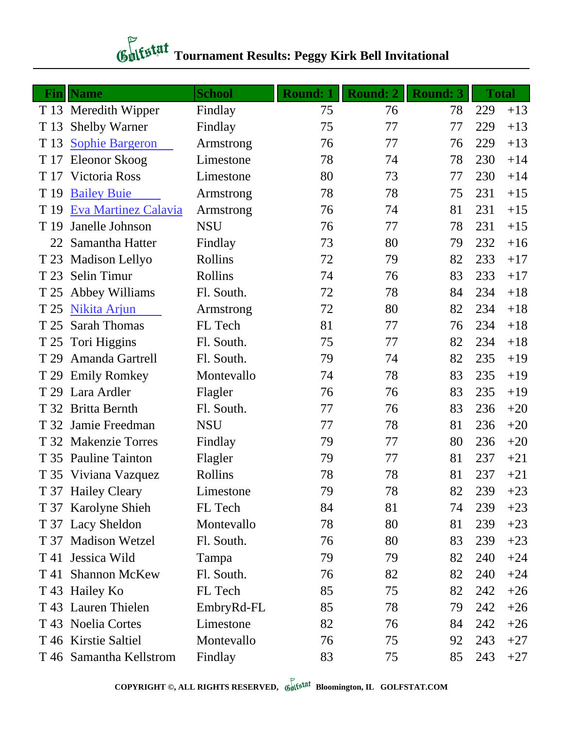## *Chitstat* Tournament Results: Peggy Kirk Bell Invitational

|      | <b>Fin</b>   Name       | <b>School</b> | <b>Round: 1</b> | <b>Round: 2</b> | <b>Round: 3</b> |     | <b>Total</b> |
|------|-------------------------|---------------|-----------------|-----------------|-----------------|-----|--------------|
|      | T 13 Meredith Wipper    | Findlay       | 75              | 76              | 78              | 229 | $+13$        |
| T 13 | <b>Shelby Warner</b>    | Findlay       | 75              | 77              | 77              | 229 | $+13$        |
| T 13 | <b>Sophie Bargeron</b>  | Armstrong     | 76              | 77              | 76              | 229 | $+13$        |
| T 17 | Eleonor Skoog           | Limestone     | 78              | 74              | 78              | 230 | $+14$        |
|      | T 17 Victoria Ross      | Limestone     | 80              | 73              | 77              | 230 | $+14$        |
| T 19 | <b>Bailey Buie</b>      | Armstrong     | 78              | 78              | 75              | 231 | $+15$        |
| T 19 | Eva Martinez Calavia    | Armstrong     | 76              | 74              | 81              | 231 | $+15$        |
| T 19 | Janelle Johnson         | <b>NSU</b>    | 76              | 77              | 78              | 231 | $+15$        |
| 22   | Samantha Hatter         | Findlay       | 73              | 80              | 79              | 232 | $+16$        |
| T 23 | Madison Lellyo          | Rollins       | 72              | 79              | 82              | 233 | $+17$        |
| T 23 | Selin Timur             | Rollins       | 74              | 76              | 83              | 233 | $+17$        |
| T 25 | Abbey Williams          | Fl. South.    | 72              | 78              | 84              | 234 | $+18$        |
| T 25 | Nikita Arjun            | Armstrong     | 72              | 80              | 82              | 234 | $+18$        |
| T 25 | <b>Sarah Thomas</b>     | FL Tech       | 81              | 77              | 76              | 234 | $+18$        |
| T 25 | Tori Higgins            | Fl. South.    | 75              | 77              | 82              | 234 | $+18$        |
| T 29 | Amanda Gartrell         | Fl. South.    | 79              | 74              | 82              | 235 | $+19$        |
| T 29 | <b>Emily Romkey</b>     | Montevallo    | 74              | 78              | 83              | 235 | $+19$        |
| T 29 | Lara Ardler             | Flagler       | 76              | 76              | 83              | 235 | $+19$        |
| T 32 | <b>Britta Bernth</b>    | Fl. South.    | 77              | 76              | 83              | 236 | $+20$        |
| T 32 | Jamie Freedman          | <b>NSU</b>    | 77              | 78              | 81              | 236 | $+20$        |
|      | T 32 Makenzie Torres    | Findlay       | 79              | 77              | 80              | 236 | $+20$        |
| T 35 | <b>Pauline Tainton</b>  | Flagler       | 79              | 77              | 81              | 237 | $+21$        |
|      | T 35 Viviana Vazquez    | Rollins       | 78              | 78              | 81              | 237 | $+21$        |
|      | T 37 Hailey Cleary      | Limestone     | 79              | 78              | 82              | 239 | $+23$        |
|      | T 37 Karolyne Shieh     | FL Tech       | 84              | 81              | 74              | 239 | $+23$        |
|      | T 37 Lacy Sheldon       | Montevallo    | 78              | 80              | 81              | 239 | $+23$        |
|      | T 37 Madison Wetzel     | Fl. South.    | 76              | 80              | 83              | 239 | $+23$        |
|      | T 41 Jessica Wild       | Tampa         | 79              | 79              | 82              | 240 | $+24$        |
| T 41 | <b>Shannon McKew</b>    | Fl. South.    | 76              | 82              | 82              | 240 | $+24$        |
|      | T 43 Hailey Ko          | FL Tech       | 85              | 75              | 82              | 242 | $+26$        |
|      | T 43 Lauren Thielen     | EmbryRd-FL    | 85              | 78              | 79              | 242 | $+26$        |
|      | T 43 Noelia Cortes      | Limestone     | 82              | 76              | 84              | 242 | $+26$        |
|      | T 46 Kirstie Saltiel    | Montevallo    | 76              | 75              | 92              | 243 | $+27$        |
|      | T 46 Samantha Kellstrom | Findlay       | 83              | 75              | 85              | 243 | $+27$        |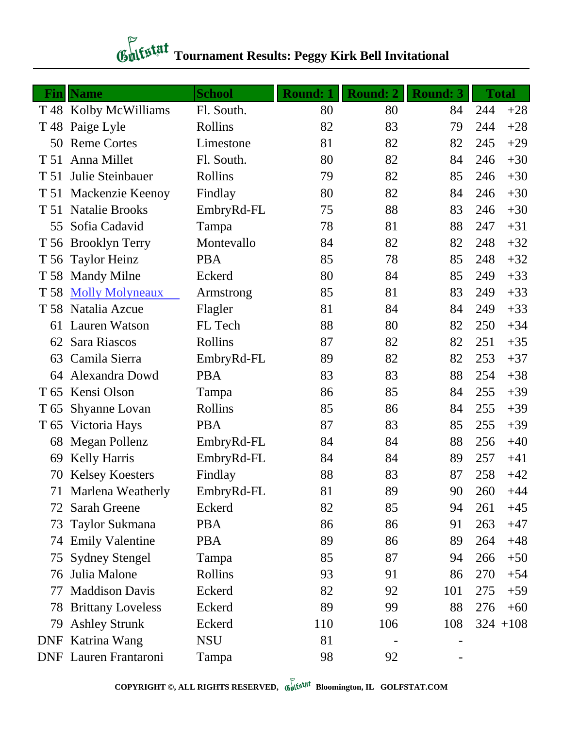## *Chitatal* Tournament Results: Peggy Kirk Bell Invitational

|                 | <b>Fin</b>   Name            | <b>School</b> | <b>Round: 1</b> | <b>Round: 2</b> | <b>Round: 3</b> |     | <b>Total</b> |
|-----------------|------------------------------|---------------|-----------------|-----------------|-----------------|-----|--------------|
|                 | T 48 Kolby McWilliams        | Fl. South.    | 80              | 80              | 84              | 244 | $+28$        |
|                 | T 48 Paige Lyle              | Rollins       | 82              | 83              | 79              | 244 | $+28$        |
| 50              | <b>Reme Cortes</b>           | Limestone     | 81              | 82              | 82              | 245 | $+29$        |
| T 51            | Anna Millet                  | Fl. South.    | 80              | 82              | 84              | 246 | $+30$        |
| T 51            | Julie Steinbauer             | Rollins       | 79              | 82              | 85              | 246 | $+30$        |
| T 51            | Mackenzie Keenoy             | Findlay       | 80              | 82              | 84              | 246 | $+30$        |
|                 | T 51 Natalie Brooks          | EmbryRd-FL    | 75              | 88              | 83              | 246 | $+30$        |
| 55              | Sofia Cadavid                | Tampa         | 78              | 81              | 88              | 247 | $+31$        |
| T 56            | <b>Brooklyn Terry</b>        | Montevallo    | 84              | 82              | 82              | 248 | $+32$        |
| T 56            | <b>Taylor Heinz</b>          | <b>PBA</b>    | 85              | 78              | 85              | 248 | $+32$        |
|                 | T 58 Mandy Milne             | Eckerd        | 80              | 84              | 85              | 249 | $+33$        |
| T 58            | <b>Molly Molyneaux</b>       | Armstrong     | 85              | 81              | 83              | 249 | $+33$        |
|                 | T 58 Natalia Azcue           | Flagler       | 81              | 84              | 84              | 249 | $+33$        |
| 61              | <b>Lauren Watson</b>         | FL Tech       | 88              | 80              | 82              | 250 | $+34$        |
| 62              | Sara Riascos                 | Rollins       | 87              | 82              | 82              | 251 | $+35$        |
| 63              | Camila Sierra                | EmbryRd-FL    | 89              | 82              | 82              | 253 | $+37$        |
| 64              | Alexandra Dowd               | <b>PBA</b>    | 83              | 83              | 88              | 254 | $+38$        |
| T <sub>65</sub> | Kensi Olson                  | Tampa         | 86              | 85              | 84              | 255 | $+39$        |
| T <sub>65</sub> | Shyanne Lovan                | Rollins       | 85              | 86              | 84              | 255 | $+39$        |
| T 65            | Victoria Hays                | <b>PBA</b>    | 87              | 83              | 85              | 255 | $+39$        |
| 68              | Megan Pollenz                | EmbryRd-FL    | 84              | 84              | 88              | 256 | $+40$        |
| 69              | <b>Kelly Harris</b>          | EmbryRd-FL    | 84              | 84              | 89              | 257 | $+41$        |
| 70              | <b>Kelsey Koesters</b>       | Findlay       | 88              | 83              | 87              | 258 | $+42$        |
|                 | 71 Marlena Weatherly         | EmbryRd-FL    | 81              | 89              | 90              | 260 | $+44$        |
| 72              | Sarah Greene                 | Eckerd        | 82              | 85              | 94              | 261 | $+45$        |
| 73              | Taylor Sukmana               | <b>PBA</b>    | 86              | 86              | 91              | 263 | $+47$        |
| 74              | <b>Emily Valentine</b>       | <b>PBA</b>    | 89              | 86              | 89              | 264 | $+48$        |
| 75              | <b>Sydney Stengel</b>        | Tampa         | 85              | 87              | 94              | 266 | $+50$        |
| 76              | Julia Malone                 | Rollins       | 93              | 91              | 86              | 270 | $+54$        |
| 77              | <b>Maddison Davis</b>        | Eckerd        | 82              | 92              | 101             | 275 | $+59$        |
| 78              | <b>Brittany Loveless</b>     | Eckerd        | 89              | 99              | 88              | 276 | $+60$        |
| 79              | <b>Ashley Strunk</b>         | Eckerd        | 110             | 106             | 108             |     | $324 + 108$  |
| <b>DNF</b>      | Katrina Wang                 | <b>NSU</b>    | 81              |                 |                 |     |              |
|                 | <b>DNF</b> Lauren Frantaroni | Tampa         | 98              | 92              |                 |     |              |